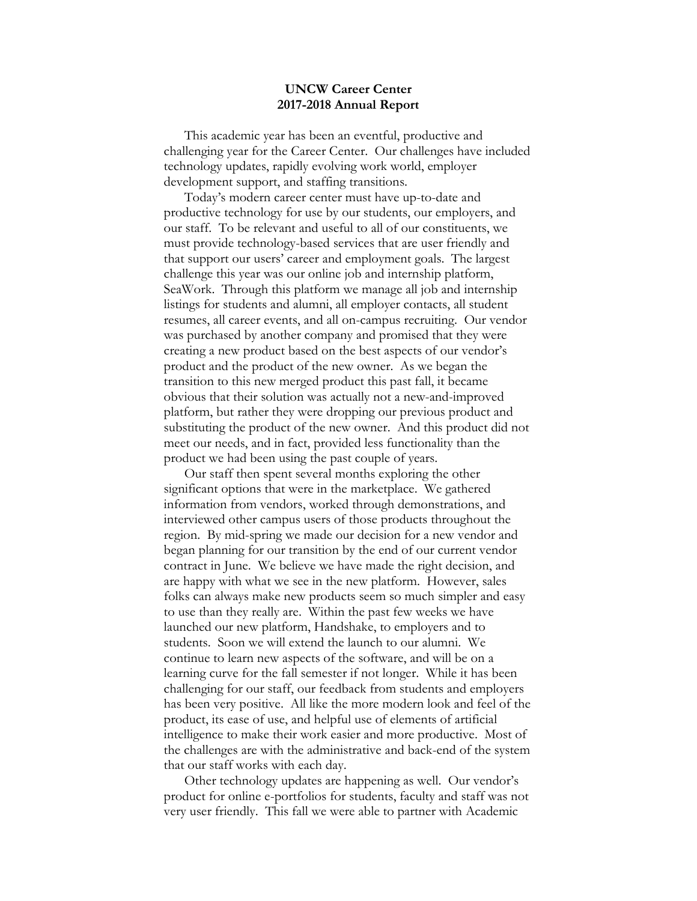#### **UNCW Career Center 2017-2018 Annual Report**

This academic year has been an eventful, productive and challenging year for the Career Center. Our challenges have included technology updates, rapidly evolving work world, employer development support, and staffing transitions.

Today's modern career center must have up-to-date and productive technology for use by our students, our employers, and our staff. To be relevant and useful to all of our constituents, we must provide technology-based services that are user friendly and that support our users' career and employment goals. The largest challenge this year was our online job and internship platform, SeaWork. Through this platform we manage all job and internship listings for students and alumni, all employer contacts, all student resumes, all career events, and all on-campus recruiting. Our vendor was purchased by another company and promised that they were creating a new product based on the best aspects of our vendor's product and the product of the new owner. As we began the transition to this new merged product this past fall, it became obvious that their solution was actually not a new-and-improved platform, but rather they were dropping our previous product and substituting the product of the new owner. And this product did not meet our needs, and in fact, provided less functionality than the product we had been using the past couple of years.

Our staff then spent several months exploring the other significant options that were in the marketplace. We gathered information from vendors, worked through demonstrations, and interviewed other campus users of those products throughout the region. By mid-spring we made our decision for a new vendor and began planning for our transition by the end of our current vendor contract in June. We believe we have made the right decision, and are happy with what we see in the new platform. However, sales folks can always make new products seem so much simpler and easy to use than they really are. Within the past few weeks we have launched our new platform, Handshake, to employers and to students. Soon we will extend the launch to our alumni. We continue to learn new aspects of the software, and will be on a learning curve for the fall semester if not longer. While it has been challenging for our staff, our feedback from students and employers has been very positive. All like the more modern look and feel of the product, its ease of use, and helpful use of elements of artificial intelligence to make their work easier and more productive. Most of the challenges are with the administrative and back-end of the system that our staff works with each day.

Other technology updates are happening as well. Our vendor's product for online e-portfolios for students, faculty and staff was not very user friendly. This fall we were able to partner with Academic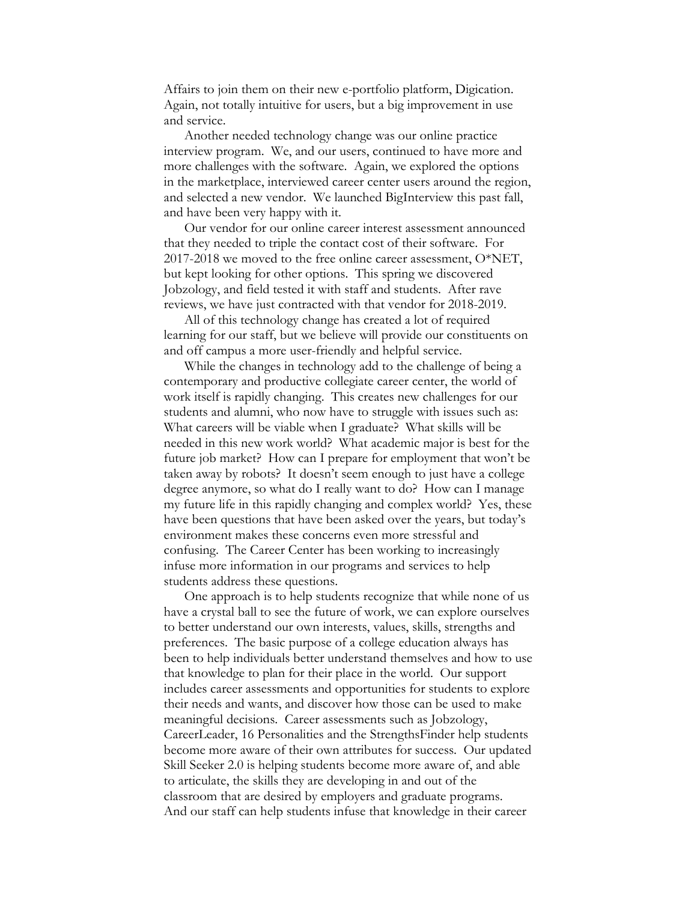Affairs to join them on their new e-portfolio platform, Digication. Again, not totally intuitive for users, but a big improvement in use and service.

Another needed technology change was our online practice interview program. We, and our users, continued to have more and more challenges with the software. Again, we explored the options in the marketplace, interviewed career center users around the region, and selected a new vendor. We launched BigInterview this past fall, and have been very happy with it.

Our vendor for our online career interest assessment announced that they needed to triple the contact cost of their software. For 2017-2018 we moved to the free online career assessment, O\*NET, but kept looking for other options. This spring we discovered Jobzology, and field tested it with staff and students. After rave reviews, we have just contracted with that vendor for 2018-2019.

All of this technology change has created a lot of required learning for our staff, but we believe will provide our constituents on and off campus a more user-friendly and helpful service.

While the changes in technology add to the challenge of being a contemporary and productive collegiate career center, the world of work itself is rapidly changing. This creates new challenges for our students and alumni, who now have to struggle with issues such as: What careers will be viable when I graduate? What skills will be needed in this new work world? What academic major is best for the future job market? How can I prepare for employment that won't be taken away by robots? It doesn't seem enough to just have a college degree anymore, so what do I really want to do? How can I manage my future life in this rapidly changing and complex world? Yes, these have been questions that have been asked over the years, but today's environment makes these concerns even more stressful and confusing. The Career Center has been working to increasingly infuse more information in our programs and services to help students address these questions.

One approach is to help students recognize that while none of us have a crystal ball to see the future of work, we can explore ourselves to better understand our own interests, values, skills, strengths and preferences. The basic purpose of a college education always has been to help individuals better understand themselves and how to use that knowledge to plan for their place in the world. Our support includes career assessments and opportunities for students to explore their needs and wants, and discover how those can be used to make meaningful decisions. Career assessments such as Jobzology, CareerLeader, 16 Personalities and the StrengthsFinder help students become more aware of their own attributes for success. Our updated Skill Seeker 2.0 is helping students become more aware of, and able to articulate, the skills they are developing in and out of the classroom that are desired by employers and graduate programs. And our staff can help students infuse that knowledge in their career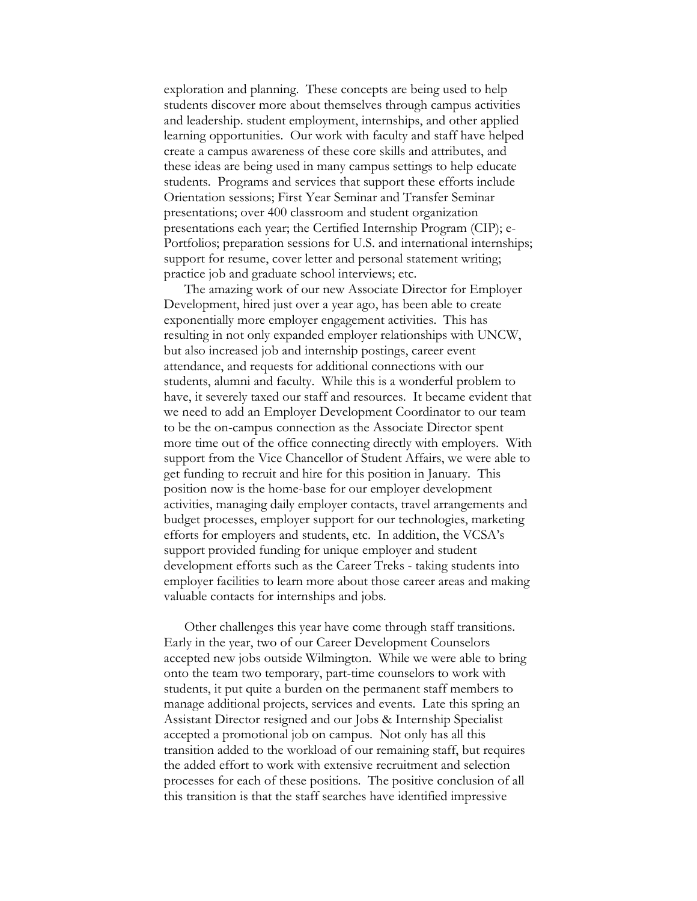exploration and planning. These concepts are being used to help students discover more about themselves through campus activities and leadership. student employment, internships, and other applied learning opportunities. Our work with faculty and staff have helped create a campus awareness of these core skills and attributes, and these ideas are being used in many campus settings to help educate students. Programs and services that support these efforts include Orientation sessions; First Year Seminar and Transfer Seminar presentations; over 400 classroom and student organization presentations each year; the Certified Internship Program (CIP); e-Portfolios; preparation sessions for U.S. and international internships; support for resume, cover letter and personal statement writing; practice job and graduate school interviews; etc.

The amazing work of our new Associate Director for Employer Development, hired just over a year ago, has been able to create exponentially more employer engagement activities. This has resulting in not only expanded employer relationships with UNCW, but also increased job and internship postings, career event attendance, and requests for additional connections with our students, alumni and faculty. While this is a wonderful problem to have, it severely taxed our staff and resources. It became evident that we need to add an Employer Development Coordinator to our team to be the on-campus connection as the Associate Director spent more time out of the office connecting directly with employers. With support from the Vice Chancellor of Student Affairs, we were able to get funding to recruit and hire for this position in January. This position now is the home-base for our employer development activities, managing daily employer contacts, travel arrangements and budget processes, employer support for our technologies, marketing efforts for employers and students, etc. In addition, the VCSA's support provided funding for unique employer and student development efforts such as the Career Treks - taking students into employer facilities to learn more about those career areas and making valuable contacts for internships and jobs.

Other challenges this year have come through staff transitions. Early in the year, two of our Career Development Counselors accepted new jobs outside Wilmington. While we were able to bring onto the team two temporary, part-time counselors to work with students, it put quite a burden on the permanent staff members to manage additional projects, services and events. Late this spring an Assistant Director resigned and our Jobs & Internship Specialist accepted a promotional job on campus. Not only has all this transition added to the workload of our remaining staff, but requires the added effort to work with extensive recruitment and selection processes for each of these positions. The positive conclusion of all this transition is that the staff searches have identified impressive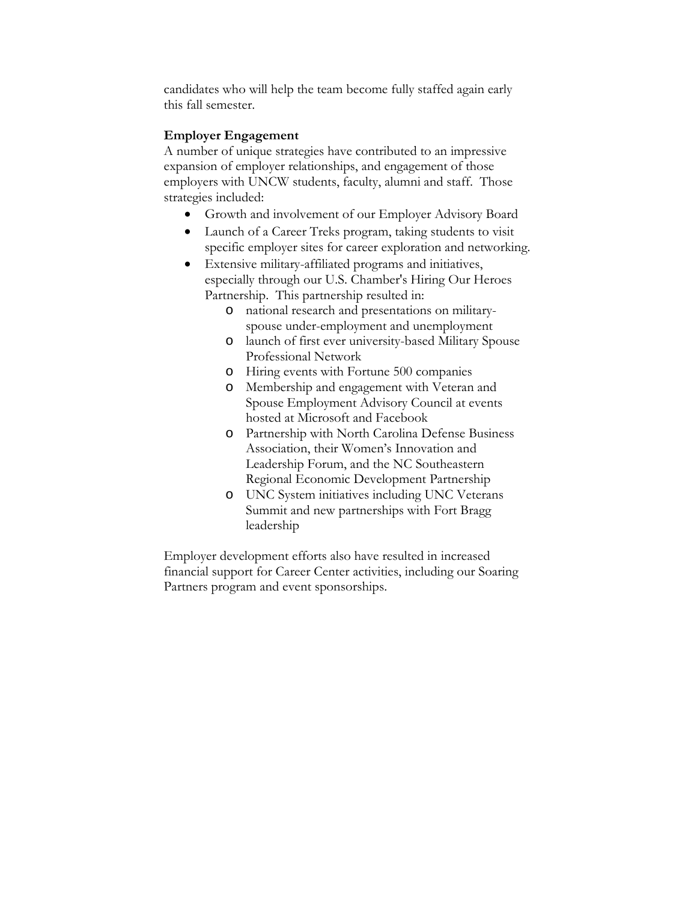candidates who will help the team become fully staffed again early this fall semester.

#### **Employer Engagement**

A number of unique strategies have contributed to an impressive expansion of employer relationships, and engagement of those employers with UNCW students, faculty, alumni and staff. Those strategies included:

- Growth and involvement of our Employer Advisory Board
- Launch of a Career Treks program, taking students to visit specific employer sites for career exploration and networking.
- Extensive military-affiliated programs and initiatives, especially through our U.S. Chamber's Hiring Our Heroes Partnership. This partnership resulted in:
	- o national research and presentations on militaryspouse under-employment and unemployment
	- o launch of first ever university-based Military Spouse Professional Network
	- o Hiring events with Fortune 500 companies
	- o Membership and engagement with Veteran and Spouse Employment Advisory Council at events hosted at Microsoft and Facebook
	- o Partnership with North Carolina Defense Business Association, their Women's Innovation and Leadership Forum, and the NC Southeastern Regional Economic Development Partnership
	- o UNC System initiatives including UNC Veterans Summit and new partnerships with Fort Bragg leadership

Employer development efforts also have resulted in increased financial support for Career Center activities, including our Soaring Partners program and event sponsorships.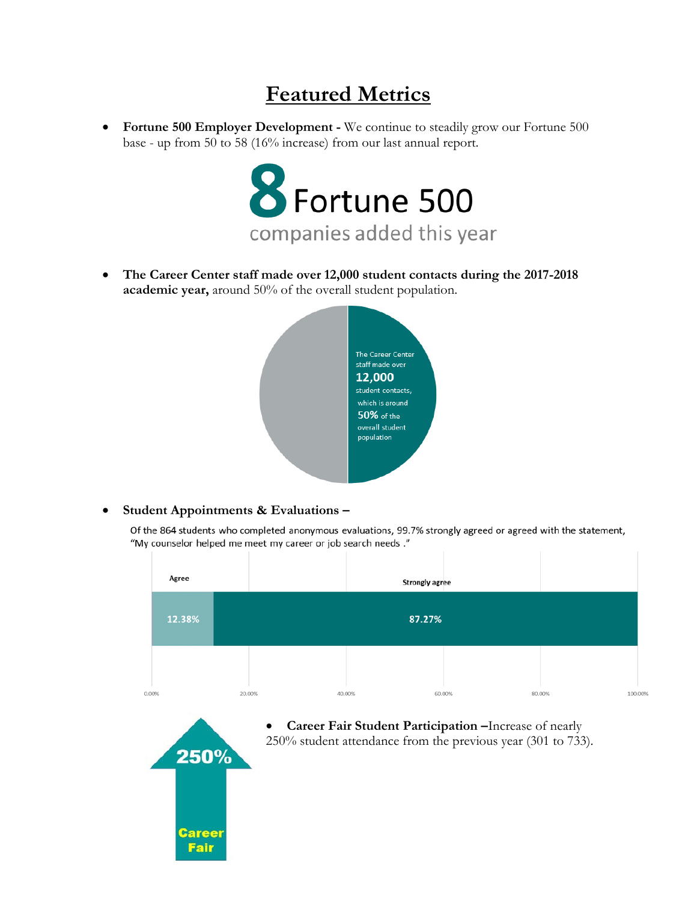# **Featured Metrics**

• **Fortune 500 Employer Development -** We continue to steadily grow our Fortune 500 base - up from 50 to 58 (16% increase) from our last annual report.



• **The Career Center staff made over 12,000 student contacts during the 2017-2018 academic year,** around 50% of the overall student population.



#### • **Student Appointments & Evaluations –**

Of the 864 students who completed anonymous evaluations, 99.7% strongly agreed or agreed with the statement, "My counselor helped me meet my career or job search needs."

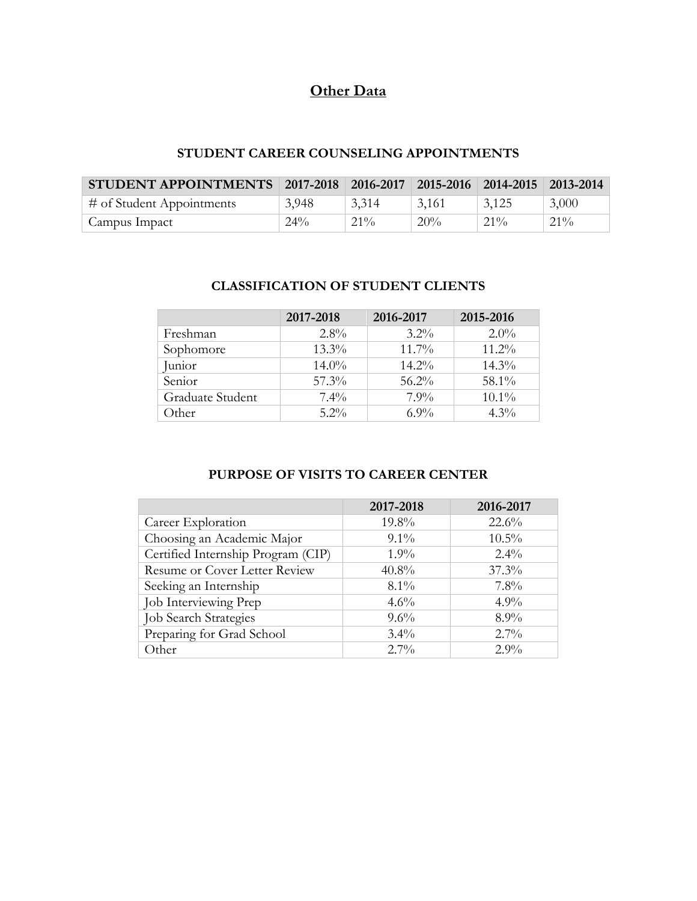## **Other Data**

## **STUDENT CAREER COUNSELING APPOINTMENTS**

| STUDENT APPOINTMENTS 2017-2018 2016-2017 2015-2016 2014-2015 2013-2014 |        |        |       |        |        |
|------------------------------------------------------------------------|--------|--------|-------|--------|--------|
| $\#$ of Student Appointments                                           | 3,948  | 3,314  | 3,161 | 3,125  | 3,000  |
| Campus Impact                                                          | $24\%$ | $21\%$ | 20%   | $21\%$ | $21\%$ |

### **CLASSIFICATION OF STUDENT CLIENTS**

|                  | 2017-2018 | 2016-2017 | 2015-2016 |
|------------------|-----------|-----------|-----------|
| Freshman         | $2.8\%$   | $3.2\%$   | $2.0\%$   |
| Sophomore        | $13.3\%$  | $11.7\%$  | $11.2\%$  |
| Junior           | $14.0\%$  | $14.2\%$  | $14.3\%$  |
| Senior           | $57.3\%$  | $56.2\%$  | 58.1%     |
| Graduate Student | $7.4\%$   | $7.9\%$   | $10.1\%$  |
| Other            | $5.2\%$   | $6.9\%$   | $4.3\%$   |

## **PURPOSE OF VISITS TO CAREER CENTER**

|                                      | 2017-2018 | 2016-2017 |
|--------------------------------------|-----------|-----------|
| Career Exploration                   | 19.8%     | $22.6\%$  |
| Choosing an Academic Major           | $9.1\%$   | $10.5\%$  |
| Certified Internship Program (CIP)   | $1.9\%$   | $2.4\%$   |
| <b>Resume or Cover Letter Review</b> | 40.8%     | $37.3\%$  |
| Seeking an Internship                | $8.1\%$   | $7.8\%$   |
| Job Interviewing Prep                | $4.6\%$   | $4.9\%$   |
| <b>Job Search Strategies</b>         | $9.6\%$   | $8.9\%$   |
| Preparing for Grad School            | $3.4\%$   | $2.7\%$   |
| Other                                | $2.7\%$   | $2.9\%$   |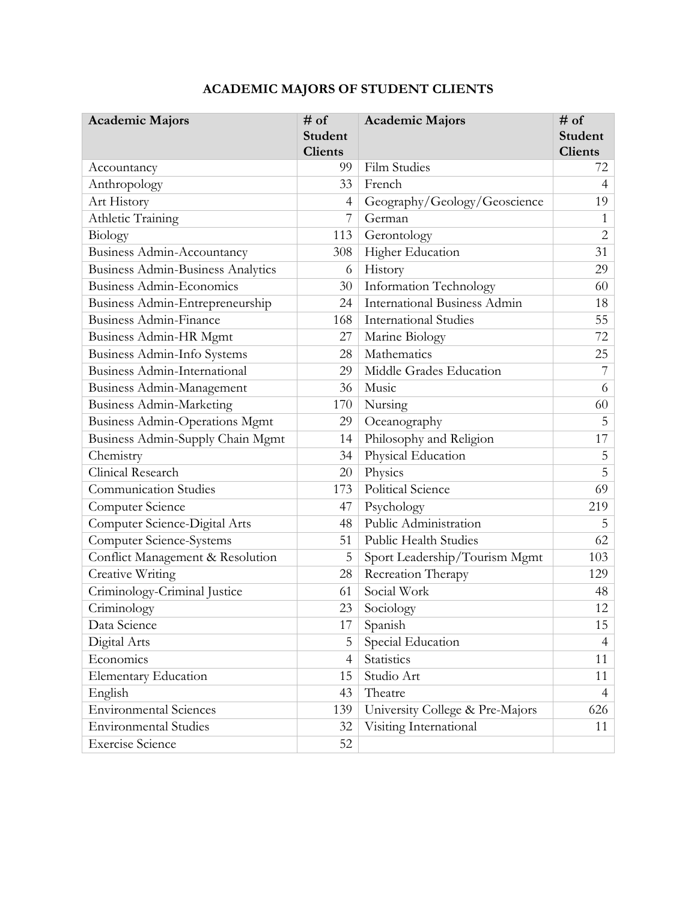| <b>Academic Majors</b>                   | $#$ of<br><b>Student</b><br><b>Clients</b> | <b>Academic Majors</b>              | # of<br><b>Student</b><br><b>Clients</b> |
|------------------------------------------|--------------------------------------------|-------------------------------------|------------------------------------------|
| Accountancy                              | 99.                                        | <b>Film Studies</b>                 | 72                                       |
| Anthropology                             | 33                                         | French                              | $\overline{4}$                           |
| Art History                              | 4                                          | Geography/Geology/Geoscience        | 19                                       |
| Athletic Training                        | 7                                          | German                              | 1                                        |
| Biology                                  | 113                                        | Gerontology                         | $\overline{2}$                           |
| <b>Business Admin-Accountancy</b>        | 308                                        | Higher Education                    | 31                                       |
| <b>Business Admin-Business Analytics</b> | 6                                          | History                             | 29                                       |
| <b>Business Admin-Economics</b>          | 30                                         | Information Technology              | 60                                       |
| Business Admin-Entrepreneurship          | 24                                         | <b>International Business Admin</b> | 18                                       |
| <b>Business Admin-Finance</b>            | 168                                        | <b>International Studies</b>        | 55                                       |
| Business Admin-HR Mgmt                   | 27                                         | Marine Biology                      | 72                                       |
| Business Admin-Info Systems              | 28                                         | Mathematics                         | 25                                       |
| Business Admin-International             | 29                                         | Middle Grades Education             | 7                                        |
| Business Admin-Management                | 36                                         | Music                               | 6                                        |
| <b>Business Admin-Marketing</b>          | 170                                        | Nursing                             | 60                                       |
| <b>Business Admin-Operations Mgmt</b>    | 29                                         | Oceanography                        | 5                                        |
| Business Admin-Supply Chain Mgmt         | 14                                         | Philosophy and Religion             | 17                                       |
| Chemistry                                | 34                                         | Physical Education                  | 5                                        |
| Clinical Research                        | 20                                         | Physics                             | 5                                        |
| <b>Communication Studies</b>             | 173                                        | Political Science                   | 69                                       |
| Computer Science                         | 47                                         | Psychology                          | 219                                      |
| Computer Science-Digital Arts            | 48                                         | Public Administration               | 5                                        |
| Computer Science-Systems                 | 51                                         | <b>Public Health Studies</b>        | 62                                       |
| Conflict Management & Resolution         | 5                                          | Sport Leadership/Tourism Mgmt       | 103                                      |
| Creative Writing                         | 28                                         | Recreation Therapy                  | 129                                      |
| Criminology-Criminal Justice             | 61                                         | Social Work                         | 48                                       |
| Criminology                              | 23                                         | Sociology                           | 12                                       |
| Data Science                             | 17                                         | Spanish                             | 15                                       |
| Digital Arts                             | 5                                          | Special Education                   | $\overline{4}$                           |
| Economics                                | 4                                          | Statistics                          | 11                                       |
| <b>Elementary Education</b>              | 15                                         | Studio Art                          | 11                                       |
| English                                  | 43                                         | Theatre                             | $\overline{4}$                           |
| <b>Environmental Sciences</b>            | 139                                        | University College & Pre-Majors     | 626                                      |
| <b>Environmental Studies</b>             | 32                                         | Visiting International              | 11                                       |
| <b>Exercise Science</b>                  | 52                                         |                                     |                                          |

## **ACADEMIC MAJORS OF STUDENT CLIENTS**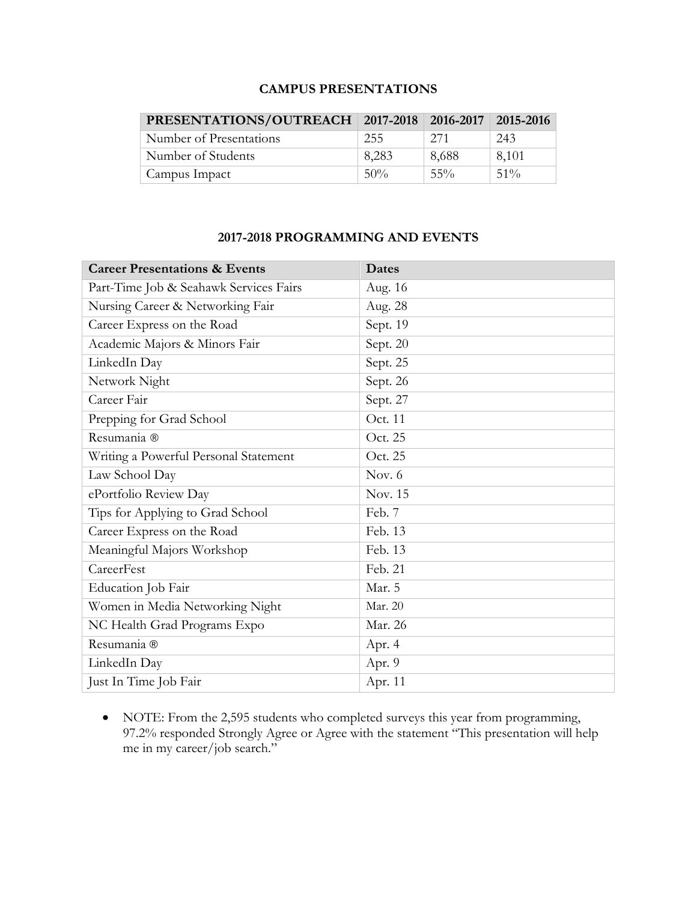### **CAMPUS PRESENTATIONS**

| PRESENTATIONS/OUTREACH   2017-2018   2016-2017   2015-2016 |        |        |        |
|------------------------------------------------------------|--------|--------|--------|
| Number of Presentations                                    | 255    | 271    | 243    |
| Number of Students                                         | 8,283  | 8,688  | 8,101  |
| Campus Impact                                              | $50\%$ | $55\%$ | $51\%$ |

### **2017-2018 PROGRAMMING AND EVENTS**

| <b>Career Presentations &amp; Events</b> | <b>Dates</b> |
|------------------------------------------|--------------|
| Part-Time Job & Seahawk Services Fairs   | Aug. 16      |
| Nursing Career & Networking Fair         | Aug. 28      |
| Career Express on the Road               | Sept. 19     |
| Academic Majors & Minors Fair            | Sept. 20     |
| LinkedIn Day                             | Sept. 25     |
| Network Night                            | Sept. 26     |
| Career Fair                              | Sept. 27     |
| Prepping for Grad School                 | Oct. 11      |
| Resumania ®                              | Oct. 25      |
| Writing a Powerful Personal Statement    | Oct. 25      |
| Law School Day                           | Nov. $6$     |
| ePortfolio Review Day                    | Nov. 15      |
| Tips for Applying to Grad School         | Feb. 7       |
| Career Express on the Road               | Feb. 13      |
| Meaningful Majors Workshop               | Feb. 13      |
| CareerFest                               | Feb. 21      |
| Education Job Fair                       | Mar. 5       |
| Women in Media Networking Night          | Mar. 20      |
| NC Health Grad Programs Expo             | Mar. 26      |
| Resumania ®                              | Apr. 4       |
| LinkedIn Day                             | Apr. 9       |
| Just In Time Job Fair                    | Apr. 11      |

• NOTE: From the 2,595 students who completed surveys this year from programming, 97.2% responded Strongly Agree or Agree with the statement "This presentation will help me in my career/job search."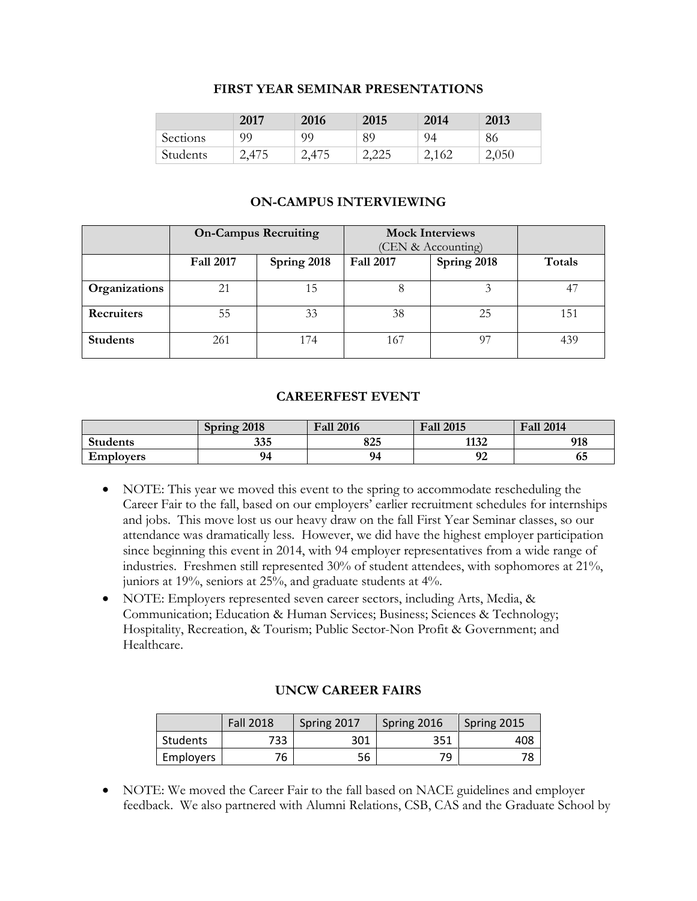#### **FIRST YEAR SEMINAR PRESENTATIONS**

|          | 2017  | 2016  | 2015  | 2014  | 2013  |
|----------|-------|-------|-------|-------|-------|
| Sections | 99    | 99    | 89    | 94    | 86    |
| Students | 2,475 | 2,475 | 2,225 | 2,162 | 2,050 |

#### **ON-CAMPUS INTERVIEWING**

|                 | <b>On-Campus Recruiting</b> |             | <b>Mock Interviews</b> |                    |        |
|-----------------|-----------------------------|-------------|------------------------|--------------------|--------|
|                 |                             |             |                        | (CEN & Accounting) |        |
|                 | <b>Fall 2017</b>            | Spring 2018 | <b>Fall 2017</b>       | Spring 2018        | Totals |
|                 |                             |             |                        |                    |        |
| Organizations   | 21                          | 15          |                        |                    | 47     |
| Recruiters      | 55                          | 33          | 38                     | 25                 | 151    |
| <b>Students</b> | 261                         | 174         | 167                    | O7                 | 439    |

#### **CAREERFEST EVENT**

|                  | Spring 2018 | <b>Fall 2016</b> | <b>Fall 2015</b> | <b>Fall 2014</b> |
|------------------|-------------|------------------|------------------|------------------|
| <b>Students</b>  | 335         | 825              | 1132             | 918              |
| <b>Employers</b> | 94          | 94               | ∩∩<br>フム         | სე               |

- NOTE: This year we moved this event to the spring to accommodate rescheduling the Career Fair to the fall, based on our employers' earlier recruitment schedules for internships and jobs. This move lost us our heavy draw on the fall First Year Seminar classes, so our attendance was dramatically less. However, we did have the highest employer participation since beginning this event in 2014, with 94 employer representatives from a wide range of industries. Freshmen still represented 30% of student attendees, with sophomores at 21%, juniors at 19%, seniors at 25%, and graduate students at 4%.
- NOTE: Employers represented seven career sectors, including Arts, Media, & Communication; Education & Human Services; Business; Sciences & Technology; Hospitality, Recreation, & Tourism; Public Sector-Non Profit & Government; and Healthcare.

#### **UNCW CAREER FAIRS**

|           | <b>Fall 2018</b> | Spring 2017<br>Spring 2016 |     | Spring 2015 |
|-----------|------------------|----------------------------|-----|-------------|
| Students  | 733              | 301                        | 351 | 408         |
| Employers | 76               | 56                         | 79  |             |

• NOTE: We moved the Career Fair to the fall based on NACE guidelines and employer feedback. We also partnered with Alumni Relations, CSB, CAS and the Graduate School by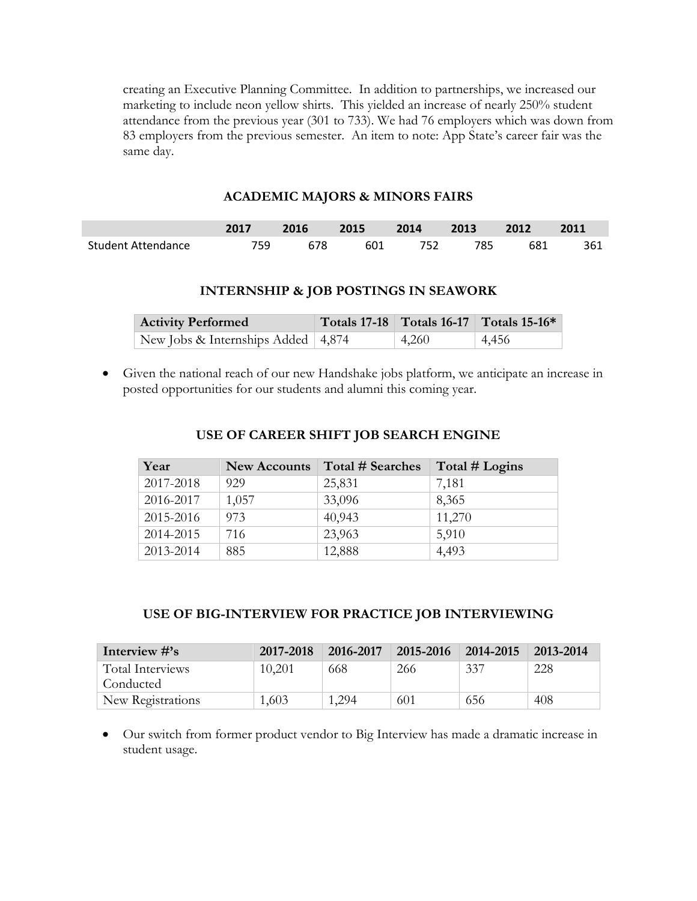creating an Executive Planning Committee. In addition to partnerships, we increased our marketing to include neon yellow shirts. This yielded an increase of nearly 250% student attendance from the previous year (301 to 733). We had 76 employers which was down from 83 employers from the previous semester. An item to note: App State's career fair was the same day.

#### **ACADEMIC MAJORS & MINORS FAIRS**

|                    | 2017  | 2016 2015 2014 2013 2012 |     |     |     |     | 2011 |
|--------------------|-------|--------------------------|-----|-----|-----|-----|------|
| Student Attendance | 759 - | 678                      | 601 | 752 | 785 | 681 | 361  |

#### **INTERNSHIP & JOB POSTINGS IN SEAWORK**

| <b>Activity Performed</b>                          |       | Totals 17-18 Totals 16-17 Totals 15-16* |
|----------------------------------------------------|-------|-----------------------------------------|
| New Jobs & Internships Added $\vert 4,874 \rangle$ | 4,260 | 4,456                                   |

• Given the national reach of our new Handshake jobs platform, we anticipate an increase in posted opportunities for our students and alumni this coming year.

| Year      | <b>New Accounts</b> | Total # Searches | Total # Logins |
|-----------|---------------------|------------------|----------------|
| 2017-2018 | 929                 | 25,831           | 7,181          |
| 2016-2017 | 1,057               | 33,096           | 8,365          |
| 2015-2016 | 973                 | 40,943           | 11,270         |
| 2014-2015 | 716                 | 23,963           | 5,910          |
| 2013-2014 | 885                 | 12,888           | 4,493          |

#### **USE OF CAREER SHIFT JOB SEARCH ENGINE**

## **USE OF BIG-INTERVIEW FOR PRACTICE JOB INTERVIEWING**

| Interview $\#$ 's | 2017-2018   2016-2017 |       | 2015-2016 | 2014-2015 | 2013-2014 |
|-------------------|-----------------------|-------|-----------|-----------|-----------|
| Total Interviews  | 10,201                | 668   | 266       | 337       | 228       |
| Conducted         |                       |       |           |           |           |
| New Registrations | 1,603                 | 1.294 | 601       | 656       | 408       |

• Our switch from former product vendor to Big Interview has made a dramatic increase in student usage.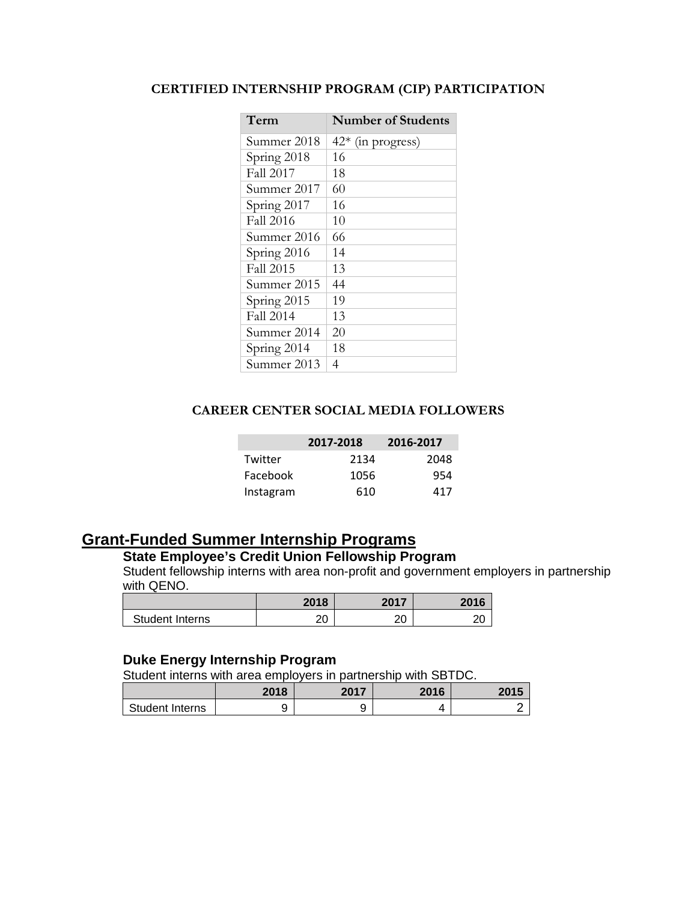## **CERTIFIED INTERNSHIP PROGRAM (CIP) PARTICIPATION**

| Term             | <b>Number of Students</b> |
|------------------|---------------------------|
| Summer 2018      | $42*$ (in progress)       |
| Spring 2018      | 16                        |
| <b>Fall 2017</b> | 18                        |
| Summer 2017      | 60                        |
| Spring 2017      | 16                        |
| <b>Fall 2016</b> | 10                        |
| Summer 2016      | 66                        |
| Spring 2016      | 14                        |
| <b>Fall 2015</b> | 13                        |
| Summer 2015      | 44                        |
| Spring 2015      | 19                        |
| <b>Fall 2014</b> | 13                        |
| Summer 2014      | 20                        |
| Spring 2014      | 18                        |
| Summer 2013      | 4                         |

### **CAREER CENTER SOCIAL MEDIA FOLLOWERS**

| 2017-2018 |      | 2016-2017 |
|-----------|------|-----------|
| Twitter   | 2134 | 2048      |
| Facebook  | 1056 | 954       |
| Instagram | 610  | 417       |

## **Grant-Funded Summer Internship Programs**

## **State Employee's Credit Union Fellowship Program**

Student fellowship interns with area non-profit and government employers in partnership with QENO.

|                 | 2018     | 2017<br>ZU 17 | 2016 |
|-----------------|----------|---------------|------|
| Student Interns | ∩∩<br>∠∪ | $\cap$<br>∠∪  | ີ    |

## **Duke Energy Internship Program**

Student interns with area employers in partnership with SBTDC.

|                 | 2018 | 2017 | 2016 | 2015 |
|-----------------|------|------|------|------|
| Student Interns |      | ີ    |      |      |